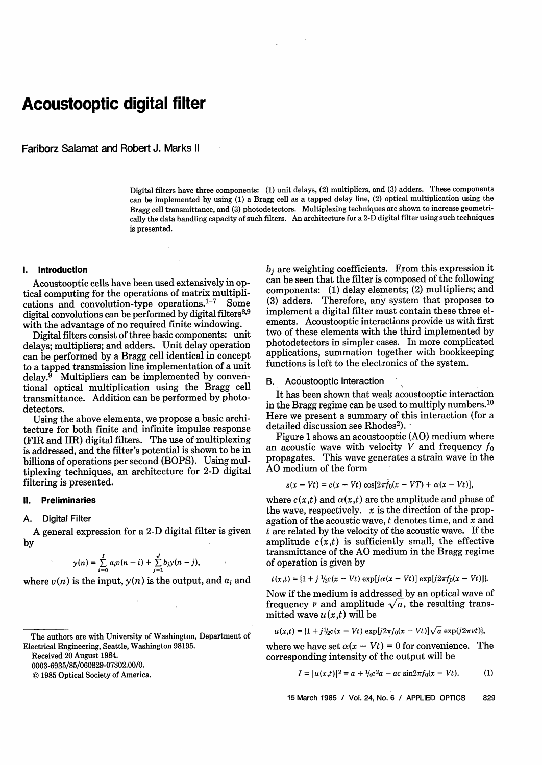# **Acoustooptic digital filter**

Fariborz Salamat and Robert J. Marks 11

Digital filters have three components: (1) unit delays, (2) multipliers, and (3) adders. These components can be implemented by using (1) a Bragg cell as a tapped delay line, (2) optical multiplication using the Bragg cell transmittance, and (3) photodetectors. Multiplexing techniques are shown to increase geometrically the data handling capacity of such filters. An architecture for a 2-D digital filter using such techniques is presented.

#### **1. Introduction**

Acoustooptic cells have been used extensively in optical computing for the operations of matrix multiplications and convolution-type operations. $1-7$  Some digital convolutions can be performed by digital filters $8,9$ with the advantage of no required finite windowing.

Digital filters consist of three basic components: unit delays; multipliers; and adders. Unit delay operation can be performed by a Bragg cell identical in concept to a tapped transmission line implementation of a unit delay. $9$  Multipliers can be implemented by conventional optical multiplication using the Bragg cell transmittance. Addition can be performed by photodetectors.

Using the above elements, we propose a basic architecture for both finite and infinite impulse response (FIR and IIR) digital filters. The use of multiplexing is addressed, and the filter's potential is shown to be in billions of operations per second (BOPS). Using multiplexing techniques, an architecture for 2-D digital filtering is presented.

#### 11. **Preliminaries**

#### **A. Digital Filter**

A general expression for a 2-D digital filter is given by

$$
y(n) = \sum_{i=0}^{I} a_i v(n-i) + \sum_{j=1}^{J} b_j y(n-j),
$$

where  $v(n)$  is the input,  $y(n)$  is the output, and  $a_i$  and

Received 20 August 1984.

0003-6935/85/060829-07\$02.00/0.

© 1985 Optical Society of America.

 $b_i$  are weighting coefficients. From this expression it can be seen that the filter is composed of the following components: (1) delay elements; (2) multipliers; and (3) adders. Therefore, any system that proposes to implement a digital filter must contain these three elements. Acoustooptic interactions provide us with first two of these elements with the third implemented by photodetectors in simpler cases. In more complicated applications, summation together with bookkeeping functions is left to the electronics of the system.

#### B. Acoustooptic Interaction

It has been shown that weak acoustooptic interaction in the Bragg regime can be used to multiply numbers.<sup>10</sup> Here we present a summary of this interaction (for a detailed discussion see Rhodes<sup>2</sup>).

Figure 1 shows an acoustooptic (AO) medium where an acoustic wave with velocity  $V$  and frequency  $f_0$ propagates. This wave generates a strain wave in the AO medium of the form

$$
s(x - Vt) = c(x - Vt) \cos[2\pi \dot{f}_0(x - VT) + \alpha(x - Vt)],
$$

where  $c(x,t)$  and  $\alpha(x,t)$  are the amplitude and phase of the wave, respectively.  $x$  is the direction of the propagation of the acoustic wave,  $t$  denotes time, and  $x$  and  $t$  are related by the velocity of the acoustic wave. If the amplitude  $c(x,t)$  is sufficiently small, the effective transmittance of the AO medium in the Bragg regime of operation is given by

$$
t(x,t) = \{1 + j \frac{1}{2}c(x - Vt) \exp[j\alpha(x - Vt)] \exp[j2\pi f_0(x - Vt)]\}.
$$

Now if the medium is addressed by an optical wave of frequency  $\nu$  and amplitude  $\sqrt{a}$ , the resulting transmitted wave  $u(x,t)$  will be

$$
u(x,t) = \{1 + j\frac{1}{2}c(x - Vt) \exp[j2\pi f_0(x - Vt)]\sqrt{a} \exp(j2\pi\nu t)\},\
$$

where we have set  $\alpha(x - Vt) = 0$  for convenience. The corresponding intensity of the output will be

$$
I = |u(x,t)|^2 = a + \frac{1}{4}c^2a - ac\sin 2\pi f_0(x - Vt).
$$
 (1)

15 March 1985 / Vol. 24, No. 6 / APPLIED OPTICS 829

The authors are with University of Washington, Department of Electrical Engineering, Seattle, Washington 98195.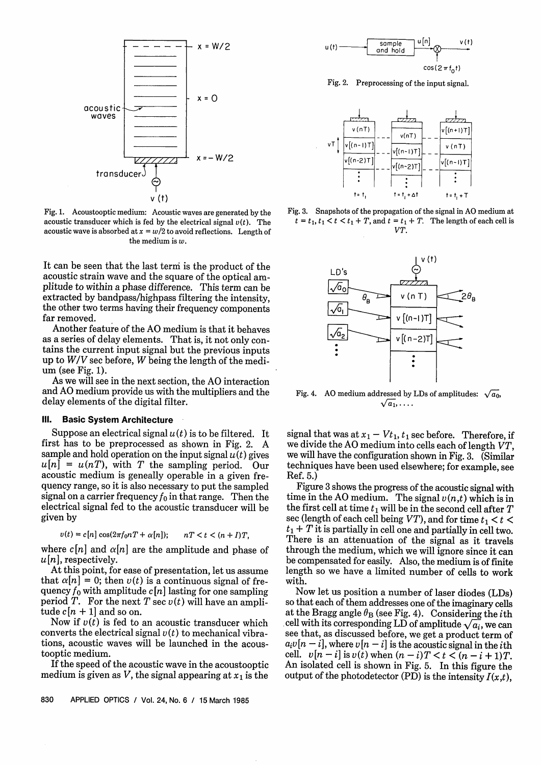

Fig. 1. Acoustooptic medium: Acoustic waves are generated by the acoustic transducer which is fed by the electrical signal  $v(t)$ . The acoustic wave is absorbed at  $x = w/2$  to avoid reflections. Length of the medium is *w.*

It can be seen that the last terni is the product of the acoustic strain wave and the square of the optical amplitude to within a phase difference. This term can be extracted by bandpass/highpass filtering the intensity, the other two terms having their frequency components far removed.

Another feature of the AO medium is that it behaves as a series of delay elements. That is, it not only contains the current input signal but the previous inputs up to *W/V* sec before, W being the length of the medium (see Fig. 1).

As we will see in the next section, the AO interaction and AO medium provide us with the multipliers and the delay elements of the digital filter.

#### **111. Basic System Architecture**

Suppose an electrical signal  $u(t)$  is to be filtered. It first has to be preprocessed as shown in Fig. 2. A sample and hold operation on the input signal  $u(t)$  gives  $u[n] = u(nT)$ , with T the sampling period. Our acoustic medium is geneally operable in a given frequency range, so it is also necessary to put the sampled signal on a carrier frequency  $f_0$  in that range. Then the electrical signal fed to the acoustic transducer will be given by

$$
v(t) = c[n] \cos(2\pi f_0 nT + \alpha[n]); \qquad nT < t < (n+I)T,
$$

where  $c[n]$  and  $\alpha[n]$  are the amplitude and phase of *u [n],* respectively.

At this point, for ease of presentation, let us assume that  $\alpha[n] = 0$ ; then  $v(t)$  is a continuous signal of frequency  $f_0$  with amplitude  $c[n]$  lasting for one sampling period T. For the next T sec  $v(t)$  will have an amplitude  $c[n+1]$  and so on.

Now if  $v(t)$  is fed to an acoustic transducer which converts the electrical signal  $v(t)$  to mechanical vibrations, acoustic waves will be launched in the acoustooptic medium.

If the speed of the acoustic wave in the acoustooptic medium is given as V, the signal appearing at  $x_1$  is the



Fig. 2. Preprocessing of the input signal.



Fig. 3. Snapshots of the propagation of the signal in AO medium at  $t = t_1, t_1 < t < t_1 + T$ , and  $t = t_1 + T$ . The length of each cell is *VT.*



Fig. 4. AO medium addressed by LDs of amplitudes:  $\sqrt{a_0}$ ,  $\sqrt{a_1}, \ldots$ .

signal that was at  $x_1 - Vt_1$ ,  $t_1$  sec before. Therefore, if we divide the AO medium into cells each of length *VT,* we will have the configuration shown in Fig. 3. (Similar techniques have been used elsewhere; for example, see Ref. 5.)

Figure 3 shows the progress of the acoustic signal with time in the AO medium. The signal  $v(n,t)$  which is in the first cell at time  $t_1$  will be in the second cell after  $T$ sec (length of each cell being *VT*), and for time  $t_1 < t <$  $t_1 + T$  it is partially in cell one and partially in cell two. There is an attenuation of the signal as it travels through the medium, which we will ignore since it can be compensated for easily. Also, the medium is of finite length so we have a limited number of cells to work with.

Now let us position a number of laser diodes (LDs) so that each of them addresses one of the imaginary cells at the Bragg angle  $\theta_B$  (see Fig. 4). Considering the *i*th cell with its corresponding LD of amplitude  $\sqrt{a_i}$ , we can see that, as discussed before, we get a product term of  $a_i v[n - i]$ , where  $v[n - i]$  is the acoustic signal in the *i*th cell.  $v[n-i]$  is  $v(t)$  when  $(n-i)T < t < (n-i+1)T$ . An isolated cell is shown in Fig. 5. In this figure the output of the photodetector (PD) is the intensity  $I(x,t)$ ,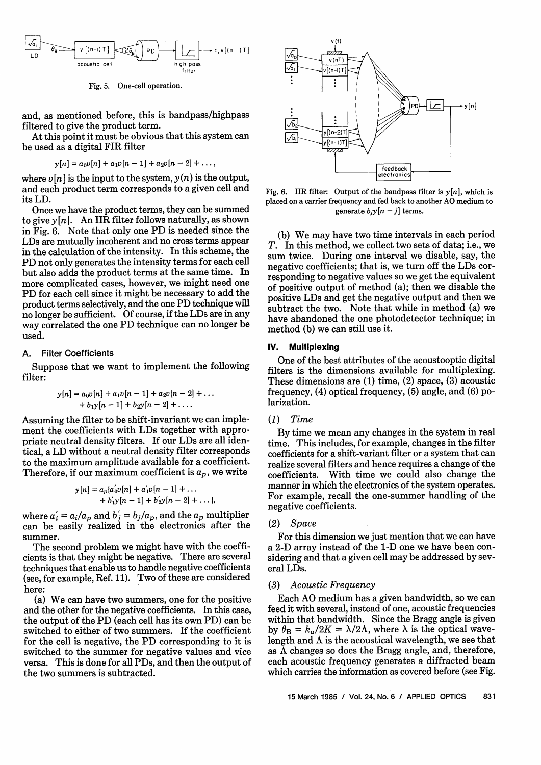

Fig. 5. One-cell operation.

and, as mentioned before, this is bandpass/highpass filtered to give the product term.

At this point it must be obvious that this system can be used as a digital FIR filter

$$
y[n] = a_0v[n] + a_1v[n-1] + a_2v[n-2] + \dots,
$$

where  $\nu[n]$  is the input to the system,  $\nu(n)$  is the output, and each product term corresponds to a given cell and its LD.

Once we have the product terms, they can be summed to give  $y[n]$ . An IIR filter follows naturally, as shown in Fig. 6. Note that only one PD is needed since the LDs are mutually incoherent and no cross terms appear in the calculation of the intensity. In this scheme, the PD not only generates the intensity terms for each cell but also adds the product terms at the same time. In more complicated cases, however, we might need one PD for each cell since it might be necessary to add the product terms selectively, and the one PD technique will no longer be sufficient. Of course, if the LDs are in any way correlated the one PD technique can no longer be used.

#### A. Filter Coefficients

Suppose that we want to implement the following filter:

$$
y[n] = a_0v[n] + a_1v[n-1] + a_2v[n-2] + \dots + b_1y[n-1] + b_2y[n-2] + \dots
$$

Assuming the filter to be shift-invariant we can implement the coefficients with LDs together with appropriate neutral density filters. If our LDs are all identical, a LD without a neutral density filter corresponds to the maximum amplitude available for a coefficient. Therefore, if our maximum coefficient is  $a_p$ , we write

$$
y[n] = a_p \{a'_0 v[n] + a'_1 v[n-1] + \dots
$$
  
+  $b'_1 y[n-1] + b'_2 y[n-2] + \dots$ ,

where  $a'_i = a_i/a_p$  and  $b'_j = b_j/a_p$ , and the  $a_p$  multiplier can be easily realized in the electronics after the summer.

The second problem we might have with the coefficients is that they might be negative. There are several techniques that enable us to handle negative coefficients (see, for example, Ref. 11). Two of these are considered here:

(a) We can have two summers, one for the positive and the other for the negative coefficients. In this case, the output of the PD (each cell has its own PD) can be switched to either of two summers. If the coefficient for the cell is negative, the PD corresponding to it is switched to the summer for negative values and vice versa. This is done for all PDs, and then the output of the two summers is subtracted.



Fig. 6. IIR filter: Output of the bandpass filter is  $y[n]$ , which is placed on a carrier frequency and fed back to another AO medium to generate  $b_j y[n-j]$  terms.

(b) We may have two time intervals in each period *T.* In this method, we collect two sets of data; i.e., we sum twice. During one interval we disable, say, the negative coefficients; that is, we turn off the LDs corresponding to negative values so we get the equivalent of positive output of method (a); then we disable the positive LDs and get the negative output and then we subtract the two. Note that while in method (a) we have abandoned the one photodetector technique; in method (b) we can still use it.

#### **IV. Multiplexing**

One of the best attributes of the acoustooptic digital filters is the dimensions available for multiplexing. These dimensions are (1) time, (2) space, (3) acoustic frequency, (4) optical frequency, (5) angle, and (6) polarization.

# *(1) Time*

*y*[*n* - *1*] +  $b_2y[n - 1]$  +  $b_2y[n - 2]$  +.... larization.<br>
e filter to be shift-invariant we can imple-<br>
efficients with LDs together with appro-<br>
al density filters. If our LDs are all iden-<br>
tihout a neutral density By time we mean any changes in the system in real time. This includes, for example, changes in the filter coefficients for a shift-variant filter or a system that can realize several filters and hence requires a change of the coefficients. With time we could also change the manner in which the electronics of the system operates. For example, recall the one-summer handling of the negative coefficients.

#### *(2) Space*

For this dimension we just mention that we can have a 2-D array instead of the 1-D one we have been considering and that a given cell may be addressed by several LDs.

#### *(3) Acoustic Frequency*

Each AO medium has a given bandwidth, so we can feed it with several, instead of one, acoustic frequencies within that bandwidth. Since the Bragg angle is given by  $\theta_{\rm B} = k_a/2K = \lambda/2\Lambda$ , where  $\lambda$  is the optical wavelength and  $\Lambda$  is the acoustical wavelength, we see that as  $\Lambda$  changes so does the Bragg angle, and, therefore, each acoustic frequency generates a diffracted beam which carries the information as covered before (see Fig.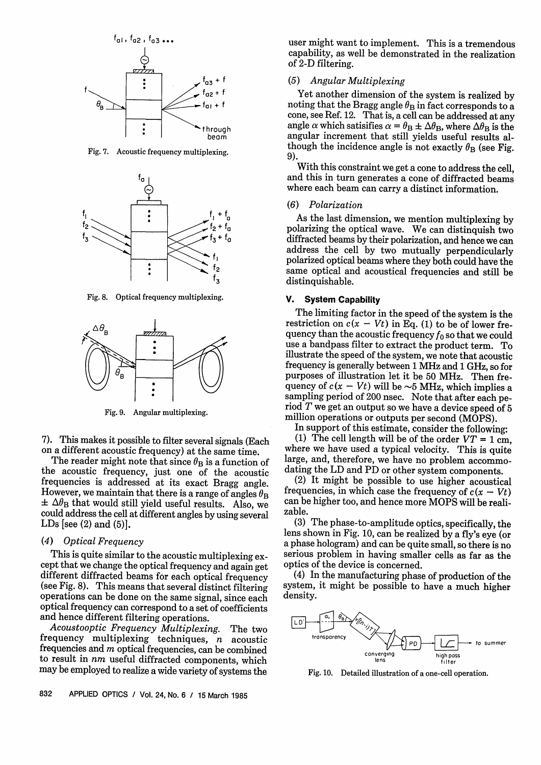

Fig. 7. Acoustic frequency multiplexing.



Fig. 8. Optical frequency multiplexing.



Fig. 9. Angular multiplexing.

7). This makes it possible to filter several signals (Each on a different acoustic frequency) at the same time.

The reader might note that since  $\theta_B$  is a function of the acoustic frequency, just one of the acoustic frequencies is addressed at its exact Bragg angle. However, we maintain that there is a range of angles  $\theta_{\rm B}$  $\pm \Delta\theta_B$  that would still yield useful results. Also, we could address the cell at different angles by using several LDs [see  $(2)$  and  $(5)$ ].

# *(4) Optical Frequency*

This is quite similar to the acoustic multiplexing except that we change the optical frequency and again get different diffracted beams for each optical frequency (see Fig. 8). This means that several distinct filtering operations can be done on the same signal, since each optical frequency can correspond to a set of coefficients

Acoustooptic Frequency Multiplexing. The two frequency multiplexing techniques, *n* acoustic frequencies and m optical frequencies, can be combined to result in *nm* useful diffracted components, which may be employed to realize a wide variety of systems the user might want to implement. This is a tremendous capability, as well be demonstrated in the realization of 2-D filtering.

#### *(5) Angular Multiplexing*

Yet another dimension of the system is realized by noting that the Bragg angle  $\theta_B$  in fact corresponds to a cone, see Ref. 12. That is, a cell can be addressed at any angle  $\alpha$  which satisifies  $\alpha = \theta_B \pm \Delta \theta_B$ , where  $\Delta \theta_B$  is the angular increment that still yields useful results although the incidence angle is not exactly  $\theta_B$  (see Fig. 9).

With this constraint we get a cone to address the cell, and this in turn generates a cone of diffracted beams where each beam can carry a distinct information.

# *(6) Polarization*

As the last dimension, we mention multiplexing by polarizing the optical wave. We can distinguish two diffracted beams by their polarization, and hence we can address the cell by two mutually perpendicularly polarized optical beams where they both could have the same optical and acoustical frequencies and still be distinguishable.

# **V. System Capability**

The limiting factor in the speed of the system is the restriction on  $c(x - Vt)$  in Eq. (1) to be of lower frequency than the acoustic frequency  $f_0$  so that we could use a bandpass filter to extract the product term. To illustrate the speed of the system, we note that acoustic frequency is generally between 1 MHz and 1 GHz, so for purposes of illustration let it be 50 MHz. Then frequency of  $c(x - Vt)$  will be  $\sim$ 5 MHz, which implies a sampling period of 200 nsec. Note that after each period  $T$  we get an output so we have a device speed of 5 million operations or outputs per second (MOPS).

In support of this estimate, consider the following:

(1) The cell length will be of the order  $VT = 1$  cm, where we have used a typical velocity. This is quite large, and, therefore, we have no problem accommo-<br>dating the LD and PD or other system components.

(2) It might be possible to use higher acoustical frequencies, in which case the frequency of  $c(x - Vt)$ can be higher too, and hence more MOPS will be realizable.

(3) The phase-to-amplitude optics, specifically, the lens shown in Fig. 10, can be realized by a fly's eye (or a phase hologram) and can be quite small, so there is no serious problem in having smaller cells as far as the optics of the device is concerned.

(4) In the manufacturing phase of production of the system, it might be possible to have a much higher density.



Fig. 10. Detailed illustration of a one-cell operation.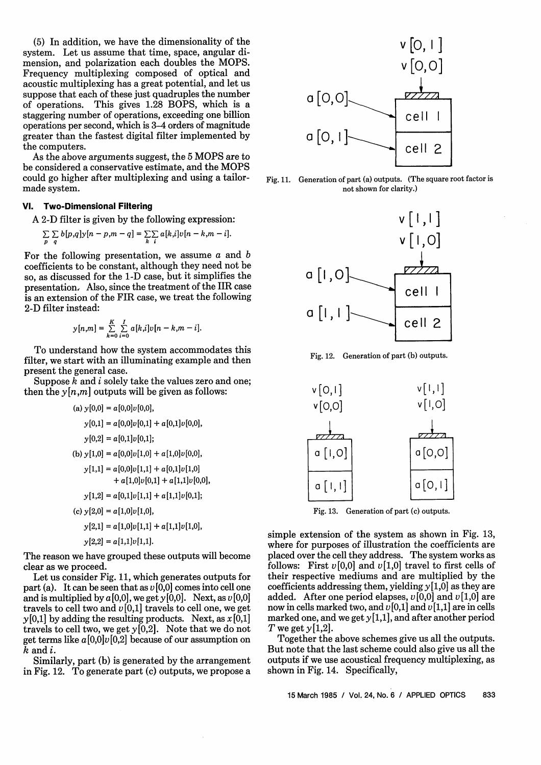(5) In addition, we have the dimensionality of the system. Let us assume that time, space, angular dimension, and polarization each doubles the MOPS. Frequency multiplexing composed of optical and acoustic multiplexing has a great potential, and let us suppose that each of these just quadruples the number of operations. This gives 1.28 BOPS, which is a staggering number of operations, exceeding one billion operations per second, which is 3-4 orders of magnitude greater than the fastest digital filter implemented by the computers.

As the above arguments suggest, the 5 MOPS are to be considered a conservative estimate, and the MOPS could go higher after multiplexing and using a tailormade system.

# **VI. Two-Dimensional Filtering**

A 2-D filter is given by the following expression:

$$
\sum_{p} \sum_{q} b[p,q] y[n-p,m-q] = \sum_{k} \sum_{i} a[k,i] y[n-k,m-i].
$$

For the following presentation, we assume  $a$  and  $b$ coefficients to be constant, although they need not be so, as discussed for the 1-D case, but it simplifies the presentation, Also, since the treatment of the IIR case is an extension of the FIR case, we treat the following 2-D filter instead:

$$
y[n,m] = \sum_{k=0}^{K} \sum_{i=0}^{I} a[k,i]v[n-k,m-i].
$$

To understand how the system accommodates this filter, we start with an illuminating example and then present the general case.

Suppose  $\overline{k}$  and  $i$  solely take the values zero and one; then the  $y[n,m]$  outputs will be given as follows:

(a) 
$$
y[0,0] = a[0,0]v[0,0],
$$
  
\n $y[0,1] = a[0,0]v[0,1] + a[0,1]v[0,0],$   
\n $y[0,2] = a[0,1]v[0,1];$   
\n(b)  $y[1,0] = a[0,0]v[1,0] + a[1,0]v[0,0],$   
\n $y[1,1] = a[0,0]v[1,1] + a[0,1]v[1,0] + a[1,1]v[0,0],$   
\n $y[1,2] = a[0,1]v[1,1] + a[1,1]v[0,1];$   
\n(c)  $y[2,0] = a[1,0]v[1,0],$   
\n $y[2,1] = a[1,0]v[1,1] + a[1,1]v[1,0],$   
\n $y[2,2] = a[1,1]v[1,1].$ 

The reason we have grouped these outputs will become clear as we proceed.

Let us consider Fig. 11, which generates outputs for part (a). It can be seen that as *v* [0,0] comes into cell one and is multiplied by  $a[0,0]$ , we get  $y[0,0]$ . Next, as  $v[0,0]$ travels to cell two and  $v[0,1]$  travels to cell one, we get *y* [0,1] by adding the resulting products. Next, as *x* [0,1] travels to cell two, we get *y* [0,2]. Note that we do not get terms like  $a[0,0]v[0,2]$  because of our assumption on k and i.

Similarly, part (b) is generated by the arrangement in Fig. 12. To generate part (c) outputs, we propose a



Fig. 11. Generation of part (a) outputs. (The square root factor is not shown for clarity.)



Fig. 12. Generation of part (b) outputs.



Fig. 13. Generation of part (c) outputs.

simple extension of the system as shown in Fig. 13, where for purposes of illustration the coefficients are placed over the cell they address. The system works as follows: First  $v[0,0]$  and  $v[1,0]$  travel to first cells of their respective mediums and are multiplied by the coefficients addressing them, yielding *y* [1,0] as they are added. After one period elapses,  $v[0,0]$  and  $v[1,0]$  are now in cells marked two, and  $v[0,1]$  and  $v[1,1]$  are in cells marked one, and we get  $y[1,1]$ , and after another period T we get  $y[1,2]$ .

Together the above schemes give us all the outputs. But note that the last scheme could also give us all the outputs if we use acoustical frequency multiplexing, as shown in Fig. 14. Specifically,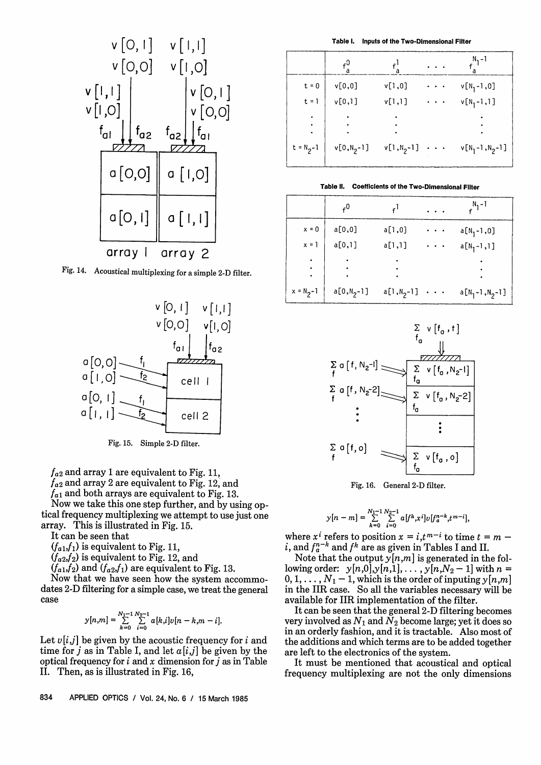

Fig. 14. Acoustical multiplexing for a simple 2-D filter.



 $f_{a2}$  and array 1 are equivalent to Fig. 11,

*fa2* and array 2 are equivalent to Fig. 12, and

 $f_{a1}$  and both arrays are equivalent to Fig. 13.

Now we take this one step further, and by using optical frequency multiplexing we attempt to use just one array. This is illustrated in Fig. 15.

It can be seen that

 $(f_{a1},f_1)$  is equivalent to Fig. 11,

 $(f_{a2}, f_{2})$  is equivalent to Fig. 12, and

 $(f_{a1}, f_2)$  and  $(f_{a2}, f_1)$  are equivalent to Fig. 13.

Now that we have seen how the system accommodates 2-D filtering for a simple case, we treat the general case

$$
y[n,m] = \sum_{k=0}^{N_1-1} \sum_{i=0}^{N_2-1} a[k,i]v[n-k,m-i].
$$

Let  $v[i,j]$  be given by the acoustic frequency for i and time for *j* as in Table I, and let  $a[i,j]$  be given by the optical frequency for i and x dimension for *j* as in Table II. Then, as is illustrated in Fig. 16,

834 APPLIED OPTICS / Vol. 24, No. 6 / 15 March 1985

**Table 1. Inputs of the Two-Dimensional Filter**

|               | $^{0}$           |                 | $N_1 - 1$        |
|---------------|------------------|-----------------|------------------|
| $t = 0$       | v[0,0]           | v[1,0]          | $v[N_1 - 1, 0]$  |
| $t = 1$       | v[0,1]           | v[1,1]          | $v[N_1 - 1, 1]$  |
|               |                  |                 |                  |
| $t = N_2 - 1$ | $v[0,N_{2} - 1]$ | $v[1, N_{2}-1]$ | $v[N_1-1,N_2-1]$ |

**Table 11. Coefficients of the Two-Dimensional Filter**

|               | $^{0}$         | f l            | $n_1 - 1$        |
|---------------|----------------|----------------|------------------|
| $x = 0$       | a[0,0]         | a[1,0]         | $a[N_1 - 1, 0]$  |
| $x = 1$       | a[0,1]         | a[1,1]         | $a[N_1-1,1]$     |
|               |                |                |                  |
| $x = N_2 - 1$ | $a[0,N_{2}-1]$ | $a[1,N_{2}-1]$ | $a[N_1-1,N_2-1]$ |



Fig. 16. General 2-D filter.

$$
y[n-m] = \sum_{k=0}^{N_1-1}\sum_{i=0}^{N_2-1}a[f^k,x^i]v[f_a^{n-k},t^{m-i}],
$$

where  $x^{i}$  refers to position  $x = i, t^{m-i}$  to time  $t = m$ i, and  $f_a^{n-k}$  and  $f^k$  are as given in Tables I and II.

Note that the output  $y[n,m]$  is generated in the following order:  $y[n,0], y[n,1], \ldots, y[n,N_2-1]$  with  $n =$  $0, 1, \ldots, N_1-1$ , which is the order of inputing  $y[n,m]$ in the IIR case. So all the variables necessary will be available for IIR implementation of the filter.

It can be seen that the general 2-D filtering becomes very involved as  $N_1$  and  $N_2$  become large; yet it does so in an orderly fashion, and it is tractable. Also most of the additions and which terms are to be added together are left to the electronics of the system.

It must be mentioned that acoustical and optical frequency multiplexing are not the only dimensions